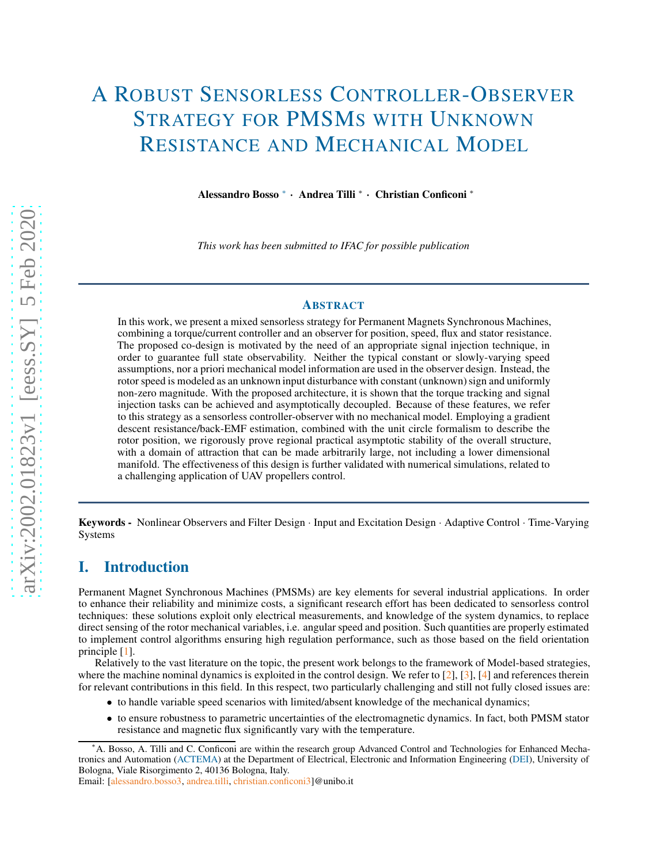# A ROBUST SENSORLESS CONTROLLER-OBSERVER STRATEGY FOR PMSMS WITH UNKNOWN RESISTANCE AND MECHANICAL MODEL

Alessandro Bosso <sup>∗</sup> · Andrea Tilli <sup>∗</sup> · Christian Conficoni <sup>∗</sup>

*This work has been submitted to IFAC for possible publication*

## ABSTRACT

In this work, we present a mixed sensorless strategy for Permanent Magnets Synchronous Machines, combining a torque/current controller and an observer for position, speed, flux and stator resistance. The proposed co-design is motivated by the need of an appropriate signal injection technique, in order to guarantee full state observability. Neither the typical constant or slowly-varying speed assumptions, nor a priori mechanical model information are used in the observer design. Instead, the rotor speed is modeled as an unknown input disturbance with constant (unknown) sign and uniformly non-zero magnitude. With the proposed architecture, it is shown that the torque tracking and signal injection tasks can be achieved and asymptotically decoupled. Because of these features, we refer to this strategy as a sensorless controller-observer with no mechanical model. Employing a gradient descent resistance/back-EMF estimation, combined with the unit circle formalism to describe the rotor position, we rigorously prove regional practical asymptotic stability of the overall structure, with a domain of attraction that can be made arbitrarily large, not including a lower dimensional manifold. The effectiveness of this design is further validated with numerical simulations, related to a challenging application of UAV propellers control.

Keywords - Nonlinear Observers and Filter Design · Input and Excitation Design · Adaptive Control · Time-Varying Systems

## I. Introduction

Permanent Magnet Synchronous Machines (PMSMs) are key elements for several industrial applications. In order to enhance their reliability and minimize costs, a significant research effort has been dedicated to sensorless control techniques: these solutions exploit only electrical measurements, and knowledge of the system dynamics, to replace direct sensing of the rotor mechanical variables, i.e. angular speed and position. Such quantities are properly estimated to implement control algorithms ensuring high regulation performance, such as those based on the field orientation principle [\[1\]](#page-10-0).

Relatively to the vast literature on the topic, the present work belongs to the framework of Model-based strategies, where the machine nominal dynamics is exploited in the control design. We refer to  $[2]$ ,  $[3]$ ,  $[4]$  and references therein for relevant contributions in this field. In this respect, two particularly challenging and still not fully closed issues are:

- to handle variable speed scenarios with limited/absent knowledge of the mechanical dynamics;
- to ensure robustness to parametric uncertainties of the electromagnetic dynamics. In fact, both PMSM stator resistance and magnetic flux significantly vary with the temperature.

Email: [\[alessandro.bosso3,](mailto:alessandro.bosso3@unibo.it) [andrea.tilli,](mailto:andrea.tilli@unibo.it) [christian.conficoni3\]](mailto:christian.conficoni3@unibo.it)@unibo.it

<sup>∗</sup>A. Bosso, A. Tilli and C. Conficoni are within the research group Advanced Control and Technologies for Enhanced Mechatronics and Automation [\(ACTEMA\)](https://dei.unibo.it/en/research/research-groups/actema) at the Department of Electrical, Electronic and Information Engineering [\(DEI\)](https://dei.unibo.it/en), University of Bologna, Viale Risorgimento 2, 40136 Bologna, Italy.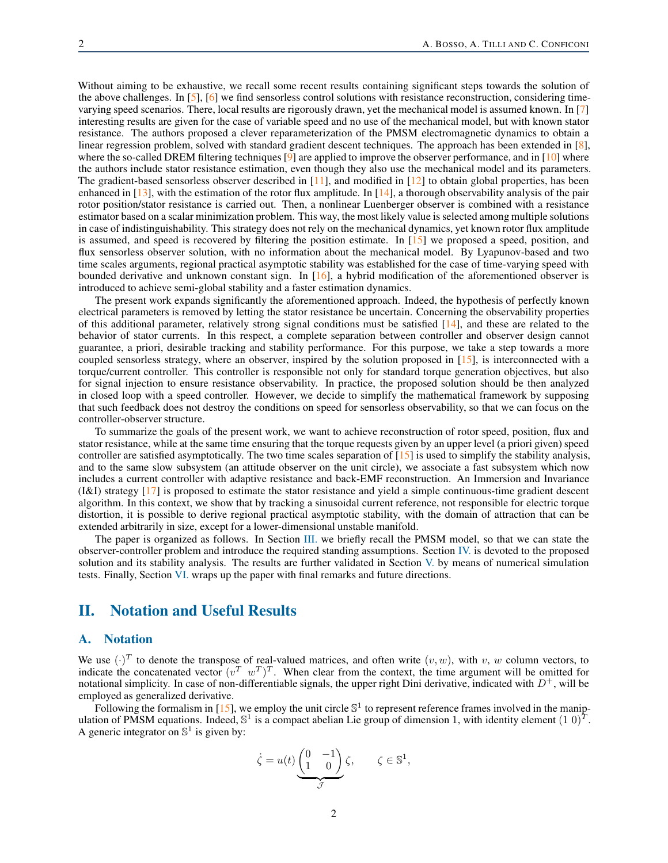Without aiming to be exhaustive, we recall some recent results containing significant steps towards the solution of the above challenges. In [\[5\]](#page-10-4), [\[6\]](#page-10-5) we find sensorless control solutions with resistance reconstruction, considering timevarying speed scenarios. There, local results are rigorously drawn, yet the mechanical model is assumed known. In [\[7\]](#page-10-6) interesting results are given for the case of variable speed and no use of the mechanical model, but with known stator resistance. The authors proposed a clever reparameterization of the PMSM electromagnetic dynamics to obtain a linear regression problem, solved with standard gradient descent techniques. The approach has been extended in [\[8\]](#page-10-7), where the so-called DREM filtering techniques  $[9]$  are applied to improve the observer performance, and in  $[10]$  where the authors include stator resistance estimation, even though they also use the mechanical model and its parameters. The gradient-based sensorless observer described in [\[11\]](#page-10-10), and modified in [\[12\]](#page-10-11) to obtain global properties, has been enhanced in  $[13]$ , with the estimation of the rotor flux amplitude. In  $[14]$ , a thorough observability analysis of the pair rotor position/stator resistance is carried out. Then, a nonlinear Luenberger observer is combined with a resistance estimator based on a scalar minimization problem. This way, the most likely value is selected among multiple solutions in case of indistinguishability. This strategy does not rely on the mechanical dynamics, yet known rotor flux amplitude is assumed, and speed is recovered by filtering the position estimate. In  $[15]$  we proposed a speed, position, and flux sensorless observer solution, with no information about the mechanical model. By Lyapunov-based and two time scales arguments, regional practical asymptotic stability was established for the case of time-varying speed with bounded derivative and unknown constant sign. In [\[16\]](#page-10-15), a hybrid modification of the aforementioned observer is introduced to achieve semi-global stability and a faster estimation dynamics.

The present work expands significantly the aforementioned approach. Indeed, the hypothesis of perfectly known electrical parameters is removed by letting the stator resistance be uncertain. Concerning the observability properties of this additional parameter, relatively strong signal conditions must be satisfied [\[14\]](#page-10-13), and these are related to the behavior of stator currents. In this respect, a complete separation between controller and observer design cannot guarantee, a priori, desirable tracking and stability performance. For this purpose, we take a step towards a more coupled sensorless strategy, where an observer, inspired by the solution proposed in [\[15\]](#page-10-14), is interconnected with a torque/current controller. This controller is responsible not only for standard torque generation objectives, but also for signal injection to ensure resistance observability. In practice, the proposed solution should be then analyzed in closed loop with a speed controller. However, we decide to simplify the mathematical framework by supposing that such feedback does not destroy the conditions on speed for sensorless observability, so that we can focus on the controller-observer structure.

To summarize the goals of the present work, we want to achieve reconstruction of rotor speed, position, flux and stator resistance, while at the same time ensuring that the torque requests given by an upper level (a priori given) speed controller are satisfied asymptotically. The two time scales separation of  $[15]$  is used to simplify the stability analysis, and to the same slow subsystem (an attitude observer on the unit circle), we associate a fast subsystem which now includes a current controller with adaptive resistance and back-EMF reconstruction. An Immersion and Invariance (I&I) strategy [\[17\]](#page-10-16) is proposed to estimate the stator resistance and yield a simple continuous-time gradient descent algorithm. In this context, we show that by tracking a sinusoidal current reference, not responsible for electric torque distortion, it is possible to derive regional practical asymptotic stability, with the domain of attraction that can be extended arbitrarily in size, except for a lower-dimensional unstable manifold.

The paper is organized as follows. In Section [III.](#page-2-0) we briefly recall the PMSM model, so that we can state the observer-controller problem and introduce the required standing assumptions. Section [IV.](#page-3-0) is devoted to the proposed solution and its stability analysis. The results are further validated in Section [V.](#page-8-0) by means of numerical simulation tests. Finally, Section [VI.](#page-9-0) wraps up the paper with final remarks and future directions.

# II. Notation and Useful Results

## A. Notation

We use  $(\cdot)^T$  to denote the transpose of real-valued matrices, and often write  $(v, w)$ , with v, w column vectors, to indicate the concatenated vector  $(v^T w^T)^T$ . When clear from the context, the time argument will be omitted for notational simplicity. In case of non-differentiable signals, the upper right Dini derivative, indicated with  $D^+$ , will be employed as generalized derivative.

Following the formalism in [\[15\]](#page-10-14), we employ the unit circle  $\mathbb{S}^1$  to represent reference frames involved in the manipulation of PMSM equations. Indeed,  $\mathbb{S}^1$  is a compact abelian Lie group of dimension 1, with identity element  $(1\ 0)^T$ . A generic integrator on  $\mathbb{S}^1$  is given by:

$$
\dot{\zeta} = u(t) \underbrace{\begin{pmatrix} 0 & -1 \\ 1 & 0 \end{pmatrix}}_{\mathcal{J}} \zeta, \qquad \zeta \in \mathbb{S}^1,
$$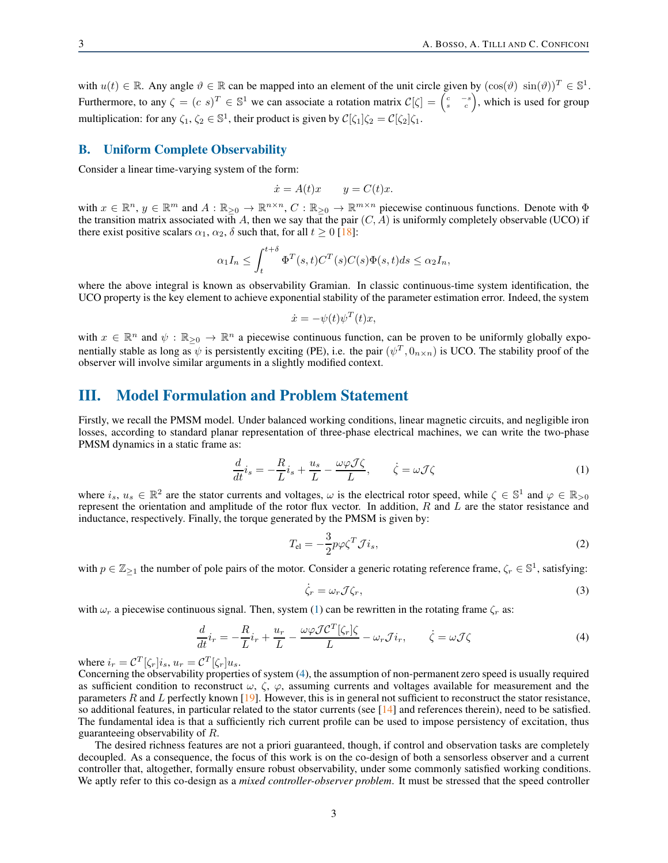with  $u(t) \in \mathbb{R}$ . Any angle  $\vartheta \in \mathbb{R}$  can be mapped into an element of the unit circle given by  $(\cos(\vartheta) \sin(\vartheta))^T \in \mathbb{S}^1$ . Furthermore, to any  $\zeta = (c \ s)^T \in \mathbb{S}^1$  we can associate a rotation matrix  $\mathcal{C}[\zeta] = \begin{pmatrix} c & -s \\ s & c \end{pmatrix}$ , which is used for group multiplication: for any  $\zeta_1, \zeta_2 \in \mathbb{S}^1$ , their product is given by  $\mathcal{C}[\zeta_1]\zeta_2 = \mathcal{C}[\zeta_2]\zeta_1$ .

#### B. Uniform Complete Observability

Consider a linear time-varying system of the form:

$$
\dot{x} = A(t)x \qquad y = C(t)x.
$$

with  $x \in \mathbb{R}^n$ ,  $y \in \mathbb{R}^m$  and  $A : \mathbb{R}_{\geq 0} \to \mathbb{R}^{n \times n}$ ,  $C : \mathbb{R}_{\geq 0} \to \mathbb{R}^{m \times n}$  piecewise continuous functions. Denote with  $\Phi$ the transition matrix associated with A, then we say that the pair  $(C, A)$  is uniformly completely observable (UCO) if there exist positive scalars  $\alpha_1$ ,  $\alpha_2$ ,  $\delta$  such that, for all  $t \geq 0$  [\[18\]](#page-10-17):

$$
\alpha_1 I_n \le \int_t^{t+\delta} \Phi^T(s,t)C^T(s)C(s)\Phi(s,t)ds \le \alpha_2 I_n,
$$

where the above integral is known as observability Gramian. In classic continuous-time system identification, the UCO property is the key element to achieve exponential stability of the parameter estimation error. Indeed, the system

$$
\dot{x} = -\psi(t)\psi^T(t)x,
$$

with  $x \in \mathbb{R}^n$  and  $\psi : \mathbb{R}_{\geq 0} \to \mathbb{R}^n$  a piecewise continuous function, can be proven to be uniformly globally exponentially stable as long as  $\psi$  is persistently exciting (PE), i.e. the pair  $(\psi^T, 0_{n \times n})$  is UCO. The stability proof of the observer will involve similar arguments in a slightly modified context.

# <span id="page-2-0"></span>III. Model Formulation and Problem Statement

Firstly, we recall the PMSM model. Under balanced working conditions, linear magnetic circuits, and negligible iron losses, according to standard planar representation of three-phase electrical machines, we can write the two-phase PMSM dynamics in a static frame as:

<span id="page-2-1"></span>
$$
\frac{d}{dt}\dot{i}_s = -\frac{R}{L}\dot{i}_s + \frac{u_s}{L} - \frac{\omega\varphi\mathcal{J}\zeta}{L}, \qquad \dot{\zeta} = \omega\mathcal{J}\zeta
$$
\n(1)

where  $i_s, u_s \in \mathbb{R}^2$  are the stator currents and voltages,  $\omega$  is the electrical rotor speed, while  $\zeta \in \mathbb{S}^1$  and  $\varphi \in \mathbb{R}_{>0}$ represent the orientation and amplitude of the rotor flux vector. In addition,  $R$  and  $L$  are the stator resistance and inductance, respectively. Finally, the torque generated by the PMSM is given by:

$$
T_{\rm el} = -\frac{3}{2} p \varphi \zeta^T \mathcal{J} i_s,\tag{2}
$$

with  $p \in \mathbb{Z}_{\geq 1}$  the number of pole pairs of the motor. Consider a generic rotating reference frame,  $\zeta_r \in \mathbb{S}^1$ , satisfying:

$$
\dot{\zeta}_r = \omega_r \mathcal{J} \zeta_r,\tag{3}
$$

with  $\omega_r$  a piecewise continuous signal. Then, system [\(1\)](#page-2-1) can be rewritten in the rotating frame  $\zeta_r$  as:

<span id="page-2-2"></span>
$$
\frac{d}{dt}\dot{i}_r = -\frac{R}{L}\dot{i}_r + \frac{u_r}{L} - \frac{\omega\varphi\mathcal{I}\mathcal{C}^T[\zeta_r]\zeta}{L} - \omega_r\mathcal{J}\dot{i}_r, \qquad \dot{\zeta} = \omega\mathcal{J}\zeta
$$
\n(4)

where  $i_r = \mathcal{C}^T[\zeta_r] i_s$ ,  $u_r = \mathcal{C}^T[\zeta_r] u_s$ .

Concerning the observability properties of system [\(4\)](#page-2-2), the assumption of non-permanent zero speed is usually required as sufficient condition to reconstruct  $\omega$ ,  $\zeta$ ,  $\varphi$ , assuming currents and voltages available for measurement and the parameters  $R$  and  $L$  perfectly known [\[19\]](#page-10-18). However, this is in general not sufficient to reconstruct the stator resistance, so additional features, in particular related to the stator currents (see  $[14]$  and references therein), need to be satisfied. The fundamental idea is that a sufficiently rich current profile can be used to impose persistency of excitation, thus guaranteeing observability of R.

The desired richness features are not a priori guaranteed, though, if control and observation tasks are completely decoupled. As a consequence, the focus of this work is on the co-design of both a sensorless observer and a current controller that, altogether, formally ensure robust observability, under some commonly satisfied working conditions. We aptly refer to this co-design as a *mixed controller-observer problem*. It must be stressed that the speed controller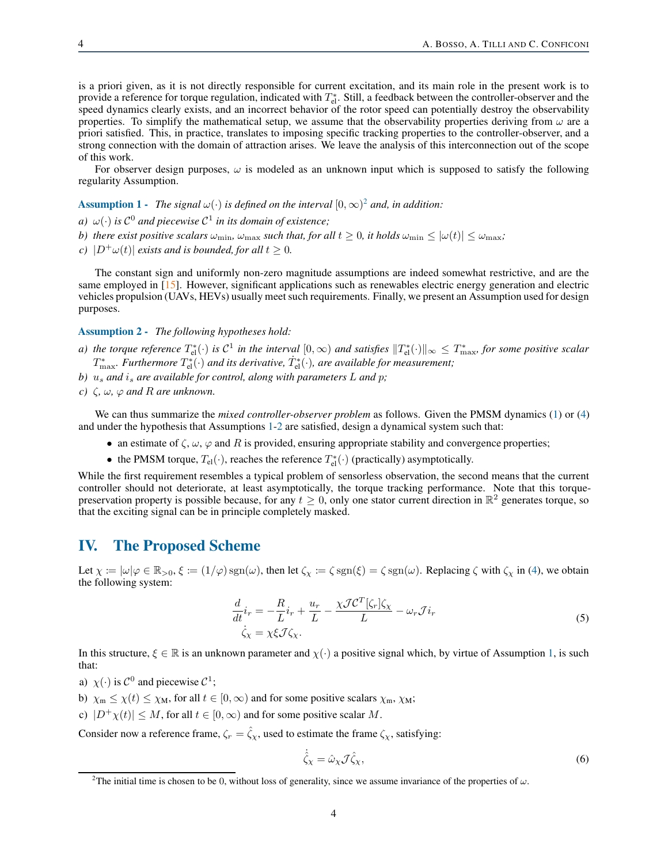is a priori given, as it is not directly responsible for current excitation, and its main role in the present work is to provide a reference for torque regulation, indicated with  $T_{el}^*$ . Still, a feedback between the controller-observer and the speed dynamics clearly exists, and an incorrect behavior of the rotor speed can potentially destroy the observability properties. To simplify the mathematical setup, we assume that the observability properties deriving from  $\omega$  are a priori satisfied. This, in practice, translates to imposing specific tracking properties to the controller-observer, and a strong connection with the domain of attraction arises. We leave the analysis of this interconnection out of the scope of this work.

For observer design purposes,  $\omega$  is modeled as an unknown input which is supposed to satisfy the following regularity Assumption.

<span id="page-3-2"></span>**Assumption 1** - The signal  $\omega(\cdot)$  is defined on the interval  $[0,\infty)^2$  $[0,\infty)^2$  and, in addition:

- *a*)  $\omega(\cdot)$  *is*  $C^0$  *and piecewise*  $C^1$  *in its domain of existence;*
- *b)* there exist positive scalars  $\omega_{\min}$ ,  $\omega_{\max}$  such that, for all  $t \geq 0$ , it holds  $\omega_{\min} \leq |\omega(t)| \leq \omega_{\max}$ ;
- *c*)  $|D^{\dagger}\omega(t)|$  *exists and is bounded, for all*  $t \geq 0$ *.*

The constant sign and uniformly non-zero magnitude assumptions are indeed somewhat restrictive, and are the same employed in [\[15\]](#page-10-14). However, significant applications such as renewables electric energy generation and electric vehicles propulsion (UAVs, HEVs) usually meet such requirements. Finally, we present an Assumption used for design purposes.

#### <span id="page-3-3"></span>Assumption 2 - *The following hypotheses hold:*

- a) the torque reference  $T_{\rm el}^*(\cdot)$  is  $\mathcal{C}^1$  in the interval  $[0,\infty)$  and satisfies  $\|T_{\rm el}^*(\cdot)\|_\infty\leq T_{\max}^*$ , for some positive scalar  $T^*_{\text{max}}$ *. Furthermore*  $T^*_{\text{el}}(\cdot)$  and its derivative,  $\dot{T}^*_{\text{el}}(\cdot)$ , are available for measurement;
- *b*)  $u_s$  and  $i_s$  are available for control, along with parameters L and p;
- *c*)  $\zeta$ ,  $\omega$ ,  $\varphi$  *and*  $R$  *are unknown.*

We can thus summarize the *mixed controller-observer problem* as follows. Given the PMSM dynamics [\(1\)](#page-2-1) or [\(4\)](#page-2-2) and under the hypothesis that Assumptions [1-](#page-3-2)[2](#page-3-3) are satisfied, design a dynamical system such that:

- an estimate of  $\zeta$ ,  $\omega$ ,  $\varphi$  and R is provided, ensuring appropriate stability and convergence properties;
- the PMSM torque,  $T_{el}(\cdot)$ , reaches the reference  $T_{el}^*(\cdot)$  (practically) asymptotically.

While the first requirement resembles a typical problem of sensorless observation, the second means that the current controller should not deteriorate, at least asymptotically, the torque tracking performance. Note that this torquepreservation property is possible because, for any  $t \ge 0$ , only one stator current direction in  $\mathbb{R}^2$  generates torque, so that the exciting signal can be in principle completely masked.

## <span id="page-3-0"></span>IV. The Proposed Scheme

Let  $\chi := |\omega| \varphi \in \mathbb{R}_{>0}, \xi := (1/\varphi) \operatorname{sgn}(\omega)$ , then let  $\zeta_{\chi} := \zeta \operatorname{sgn}(\xi) = \zeta \operatorname{sgn}(\omega)$ . Replacing  $\zeta$  with  $\zeta_{\chi}$  in [\(4\)](#page-2-2), we obtain the following system:

$$
\frac{d}{dt}i_r = -\frac{R}{L}i_r + \frac{u_r}{L} - \frac{\chi \mathcal{J} \mathcal{C}^T[\zeta_r]\zeta_\chi}{L} - \omega_r \mathcal{J} i_r
$$
\n
$$
\dot{\zeta}_\chi = \chi \xi \mathcal{J} \zeta_\chi. \tag{5}
$$

<span id="page-3-4"></span>In this structure,  $\xi \in \mathbb{R}$  is an unknown parameter and  $\chi(\cdot)$  a positive signal which, by virtue of Assumption [1,](#page-3-2) is such that:

- a)  $\chi(\cdot)$  is  $C^0$  and piecewise  $C^1$ ;
- b)  $\chi_{\rm m} \leq \chi(t) \leq \chi_{\rm M}$ , for all  $t \in [0, \infty)$  and for some positive scalars  $\chi_{\rm m}$ ,  $\chi_{\rm M}$ ;
- c)  $|D^+\chi(t)| \leq M$ , for all  $t \in [0,\infty)$  and for some positive scalar M.

Consider now a reference frame,  $\zeta_r = \hat{\zeta}_\chi$ , used to estimate the frame  $\zeta_\chi$ , satisfying:

$$
\dot{\hat{\zeta}}_{\chi} = \hat{\omega}_{\chi} \mathcal{J} \hat{\zeta}_{\chi},\tag{6}
$$

<span id="page-3-1"></span><sup>&</sup>lt;sup>2</sup>The initial time is chosen to be 0, without loss of generality, since we assume invariance of the properties of  $\omega$ .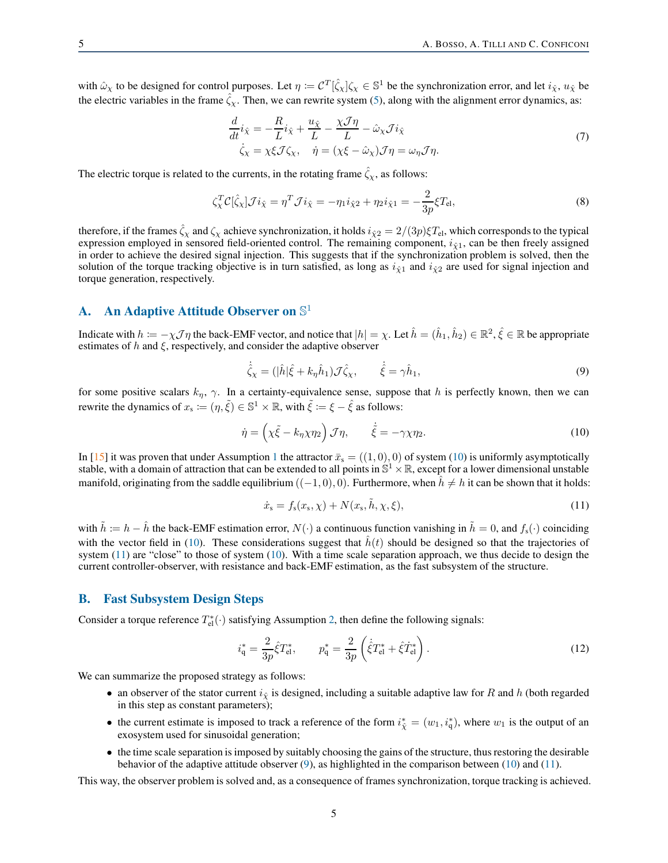with  $\hat{\omega}_\chi$  to be designed for control purposes. Let  $\eta := \mathcal{C}^T[\hat{\zeta}_\chi]\zeta_\chi \in \mathbb{S}^1$  be the synchronization error, and let  $i_{\hat{\chi}}, u_{\hat{\chi}}$  be the electric variables in the frame  $\zeta_{\chi}$ . Then, we can rewrite system [\(5\)](#page-3-4), along with the alignment error dynamics, as:

$$
\frac{d}{dt}i_{\hat{\chi}} = -\frac{R}{L}i_{\hat{\chi}} + \frac{u_{\hat{\chi}}}{L} - \frac{\chi \mathcal{J}\eta}{L} - \hat{\omega}_{\chi} \mathcal{J}i_{\hat{\chi}} \n\dot{\zeta}_{\chi} = \chi \xi \mathcal{J} \zeta_{\chi}, \quad \dot{\eta} = (\chi \xi - \hat{\omega}_{\chi}) \mathcal{J}\eta = \omega_{\eta} \mathcal{J}\eta.
$$
\n(7)

<span id="page-4-3"></span>The electric torque is related to the currents, in the rotating frame  $\hat{\zeta}_x$ , as follows:

$$
\zeta_{\chi}^{T} \mathcal{C}[\hat{\zeta}_{\chi}] \mathcal{J} i_{\hat{\chi}} = \eta^{T} \mathcal{J} i_{\hat{\chi}} = -\eta_{1} i_{\hat{\chi}2} + \eta_{2} i_{\hat{\chi}1} = -\frac{2}{3p} \xi T_{\text{el}},\tag{8}
$$

therefore, if the frames  $\hat{\zeta}_\chi$  and  $\zeta_\chi$  achieve synchronization, it holds  $i_{\hat{\chi}2} = 2/(3p)\xi T_{\text{el}}$ , which corresponds to the typical expression employed in sensored field-oriented control. The remaining component,  $i_{\hat{\chi}1}$ , can be then freely assigned in order to achieve the desired signal injection. This suggests that if the synchronization problem is solved, then the solution of the torque tracking objective is in turn satisfied, as long as  $i_{\hat{x}1}$  and  $i_{\hat{x}2}$  are used for signal injection and torque generation, respectively.

# A. An Adaptive Attitude Observer on  $\mathbb{S}^1$

Indicate with  $h = -\chi \mathcal{J} \eta$  the back-EMF vector, and notice that  $|h| = \chi$ . Let  $\hat{h} = (\hat{h}_1, \hat{h}_2) \in \mathbb{R}^2$ ,  $\hat{\xi} \in \mathbb{R}$  be appropriate estimates of h and  $\xi$ , respectively, and consider the adaptive observer

<span id="page-4-2"></span>
$$
\dot{\hat{\zeta}}_{\chi} = (|\hat{h}|\hat{\xi} + k_{\eta}\hat{h}_1)\mathcal{J}\hat{\zeta}_{\chi}, \qquad \dot{\hat{\xi}} = \gamma\hat{h}_1,\tag{9}
$$

for some positive scalars  $k_n$ ,  $\gamma$ . In a certainty-equivalence sense, suppose that h is perfectly known, then we can rewrite the dynamics of  $x_s \coloneqq (\eta, \tilde{\xi}) \in \mathbb{S}^1 \times \mathbb{R}$ , with  $\tilde{\xi} \coloneqq \xi - \hat{\xi}$  as follows:

<span id="page-4-0"></span>
$$
\dot{\eta} = \left(\chi \tilde{\xi} - k_{\eta} \chi \eta_2\right) \mathcal{J} \eta, \qquad \dot{\tilde{\xi}} = -\gamma \chi \eta_2. \tag{10}
$$

In [\[15\]](#page-10-14) it was proven that under Assumption [1](#page-3-2) the attractor  $\bar{x}_s = ((1,0), 0)$  of system [\(10\)](#page-4-0) is uniformly asymptotically stable, with a domain of attraction that can be extended to all points in  $\mathbb{S}^1\times\mathbb{R}$ , except for a lower dimensional unstable manifold, originating from the saddle equilibrium  $((-1, 0), 0)$ . Furthermore, when  $h \neq h$  it can be shown that it holds:

<span id="page-4-1"></span>
$$
\dot{x}_{s} = f_{s}(x_{s}, \chi) + N(x_{s}, \tilde{h}, \chi, \xi), \qquad (11)
$$

with  $\tilde{h} := h - \hat{h}$  the back-EMF estimation error,  $N(\cdot)$  a continuous function vanishing in  $\tilde{h} = 0$ , and  $f_s(\cdot)$  coinciding with the vector field in [\(10\)](#page-4-0). These considerations suggest that  $\hat{h}(t)$  should be designed so that the trajectories of system  $(11)$  are "close" to those of system  $(10)$ . With a time scale separation approach, we thus decide to design the current controller-observer, with resistance and back-EMF estimation, as the fast subsystem of the structure.

#### B. Fast Subsystem Design Steps

Consider a torque reference  $T_{el}^*(\cdot)$  satisfying Assumption [2,](#page-3-3) then define the following signals:

$$
i_q^* = \frac{2}{3p}\hat{\xi}T_{\text{el}}^*, \qquad p_q^* = \frac{2}{3p}\left(\dot{\hat{\xi}}T_{\text{el}}^* + \hat{\xi}T_{\text{el}}^*\right). \tag{12}
$$

We can summarize the proposed strategy as follows:

- an observer of the stator current  $i_{\hat{\chi}}$  is designed, including a suitable adaptive law for R and h (both regarded in this step as constant parameters);
- the current estimate is imposed to track a reference of the form  $i_{\hat{\chi}}^* = (w_1, i_q^*)$ , where  $w_1$  is the output of an exosystem used for sinusoidal generation;
- the time scale separation is imposed by suitably choosing the gains of the structure, thus restoring the desirable behavior of the adaptive attitude observer  $(9)$ , as highlighted in the comparison between  $(10)$  and  $(11)$ .

This way, the observer problem is solved and, as a consequence of frames synchronization, torque tracking is achieved.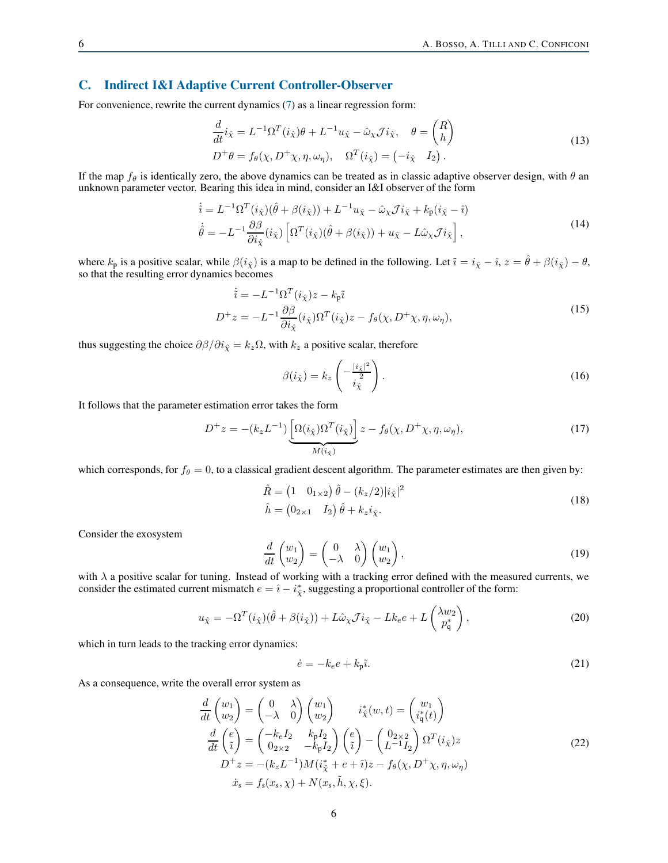## C. Indirect I&I Adaptive Current Controller-Observer

For convenience, rewrite the current dynamics [\(7\)](#page-4-3) as a linear regression form:

$$
\frac{d}{dt}i_{\hat{\chi}} = L^{-1}\Omega^T(i_{\hat{\chi}})\theta + L^{-1}u_{\hat{\chi}} - \hat{\omega}_{\chi}\mathcal{J}i_{\hat{\chi}}, \quad \theta = \begin{pmatrix} R \\ h \end{pmatrix}
$$
\n
$$
D^+\theta = f_{\theta}(\chi, D^+\chi, \eta, \omega_{\eta}), \quad \Omega^T(i_{\hat{\chi}}) = \begin{pmatrix} -i_{\hat{\chi}} & I_2 \end{pmatrix}.
$$
\n(13)

If the map  $f_\theta$  is identically zero, the above dynamics can be treated as in classic adaptive observer design, with  $\theta$  an unknown parameter vector. Bearing this idea in mind, consider an I&I observer of the form

$$
\begin{split} \dot{\hat{i}} &= L^{-1} \Omega^T(i_{\hat{\chi}}) (\hat{\theta} + \beta(i_{\hat{\chi}})) + L^{-1} u_{\hat{\chi}} - \hat{\omega}_{\chi} \mathcal{J} i_{\hat{\chi}} + k_{\rm p} (i_{\hat{\chi}} - \hat{\imath}) \\ \dot{\hat{\theta}} &= -L^{-1} \frac{\partial \beta}{\partial i_{\hat{\chi}}} (i_{\hat{\chi}}) \left[ \Omega^T(i_{\hat{\chi}}) (\hat{\theta} + \beta(i_{\hat{\chi}})) + u_{\hat{\chi}} - L \hat{\omega}_{\chi} \mathcal{J} i_{\hat{\chi}} \right], \end{split} \tag{14}
$$

where  $k_p$  is a positive scalar, while  $\beta(i_{\hat{\chi}})$  is a map to be defined in the following. Let  $\tilde{i} = i_{\hat{\chi}} - \hat{i}$ ,  $z = \hat{\theta} + \beta(i_{\hat{\chi}}) - \theta$ , so that the resulting error dynamics becomes

$$
\dot{\tilde{i}} = -L^{-1}\Omega^{T}(i_{\hat{\chi}})z - k_{\tilde{p}}\tilde{i}
$$
\n
$$
D^{+}z = -L^{-1}\frac{\partial\beta}{\partial i_{\hat{\chi}}}(i_{\hat{\chi}})\Omega^{T}(i_{\hat{\chi}})z - f_{\theta}(\chi, D^{+}\chi, \eta, \omega_{\eta}),
$$
\n(15)

thus suggesting the choice  $\partial \beta / \partial i_{\hat{x}} = k_z \Omega$ , with  $k_z$  a positive scalar, therefore

$$
\beta(i_{\hat{\chi}}) = k_z \left( -\frac{|i_{\hat{\chi}}|^2}{i_{\hat{\chi}}^2} \right). \tag{16}
$$

It follows that the parameter estimation error takes the form

$$
D^{+}z = -(k_z L^{-1}) \underbrace{\left[\Omega(i_{\hat{\chi}})\Omega^{T}(i_{\hat{\chi}})\right]}_{M(i_{\hat{\chi}})} z - f_{\theta}(\chi, D^{+}\chi, \eta, \omega_{\eta}), \tag{17}
$$

which corresponds, for  $f_\theta = 0$ , to a classical gradient descent algorithm. The parameter estimates are then given by:

$$
\hat{R} = \begin{pmatrix} 1 & 0_{1 \times 2} \end{pmatrix} \hat{\theta} - (k_z/2)|i_{\hat{\chi}}|^2
$$
\n
$$
\hat{h} = \begin{pmatrix} 0_{2 \times 1} & I_2 \end{pmatrix} \hat{\theta} + k_z i_{\hat{\chi}}.
$$
\n(18)

Consider the exosystem

$$
\frac{d}{dt}\begin{pmatrix}w_1\\w_2\end{pmatrix} = \begin{pmatrix}0 & \lambda\\-\lambda & 0\end{pmatrix}\begin{pmatrix}w_1\\w_2\end{pmatrix},\tag{19}
$$

with  $\lambda$  a positive scalar for tuning. Instead of working with a tracking error defined with the measured currents, we consider the estimated current mismatch  $e = \hat{i} - i^*_{\hat{\chi}}$ , suggesting a proportional controller of the form:

$$
u_{\hat{\chi}} = -\Omega^T(i_{\hat{\chi}})(\hat{\theta} + \beta(i_{\hat{\chi}})) + L\hat{\omega}_{\chi}\mathcal{J}i_{\hat{\chi}} - Lk_e e + L\begin{pmatrix} \lambda w_2 \\ p_q^* \end{pmatrix},\tag{20}
$$

which in turn leads to the tracking error dynamics:

$$
\dot{e} = -k_e e + k_p \tilde{i}.\tag{21}
$$

<span id="page-5-0"></span>As a consequence, write the overall error system as

$$
\frac{d}{dt}\begin{pmatrix} w_1\\ w_2 \end{pmatrix} = \begin{pmatrix} 0 & \lambda\\ -\lambda & 0 \end{pmatrix} \begin{pmatrix} w_1\\ w_2 \end{pmatrix} \qquad i_{\tilde{\chi}}^*(w, t) = \begin{pmatrix} w_1\\ i_1^*(t) \end{pmatrix}
$$

$$
\frac{d}{dt}\begin{pmatrix} e\\ \tilde{\imath} \end{pmatrix} = \begin{pmatrix} -k_e I_2 & k_p I_2\\ 0_{2 \times 2} & -k_p I_2 \end{pmatrix} \begin{pmatrix} e\\ \tilde{\imath} \end{pmatrix} - \begin{pmatrix} 0_{2 \times 2}\\ L^{-1} I_2 \end{pmatrix} \Omega^T (i_{\hat{\chi}}) z
$$

$$
D^+ z = -(k_z L^{-1})M(i_{\tilde{\chi}}^* + e + \tilde{\imath})z - f_{\theta}(\chi, D^+ \chi, \eta, \omega_{\eta})
$$

$$
\dot{x}_s = f_s(x_s, \chi) + N(x_s, \tilde{h}, \chi, \xi).
$$
(22)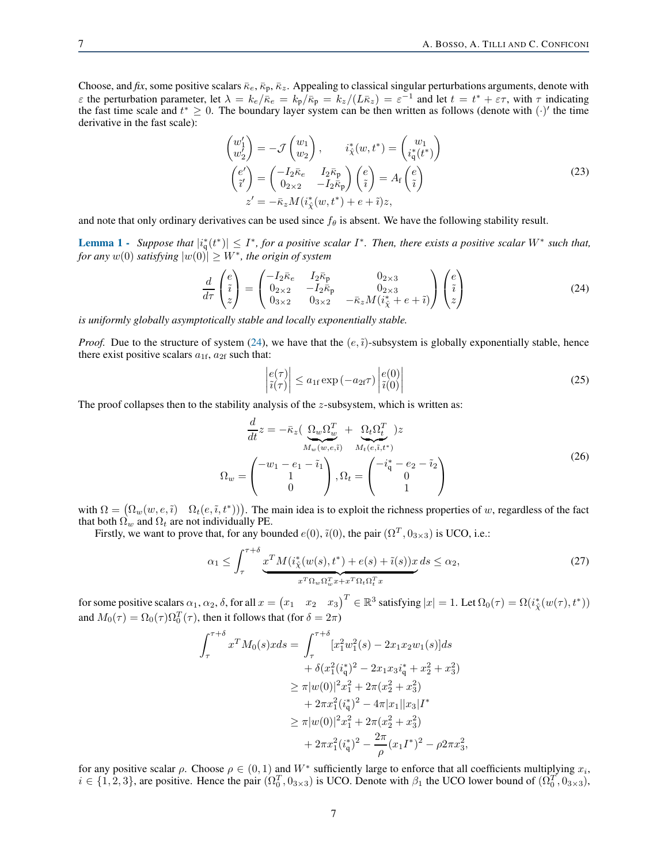Choose, and *fix*, some positive scalars  $\bar{\kappa}_e$ ,  $\bar{\kappa}_p$ ,  $\bar{\kappa}_z$ . Appealing to classical singular perturbations arguments, denote with *ε* the perturbation parameter, let  $\lambda = k_e/\bar{\kappa}_e = k_p/\bar{\kappa}_p = k_z/(L\bar{\kappa}_z) = \varepsilon^{-1}$  and let  $t = t^* + \varepsilon \tau$ , with  $\tau$  indicating the fast time scale and  $t^* \geq 0$ . The boundary layer system can be then written as follows (denote with  $(\cdot)'$  the time derivative in the fast scale):

$$
\begin{pmatrix} w_1' \\ w_2' \end{pmatrix} = -\mathcal{J} \begin{pmatrix} w_1 \\ w_2 \end{pmatrix}, \qquad i^*_{\hat{\chi}}(w, t^*) = \begin{pmatrix} w_1 \\ i^*_{\mathbf{q}}(t^*) \end{pmatrix}
$$

$$
\begin{pmatrix} e' \\ \tilde{i}' \end{pmatrix} = \begin{pmatrix} -I_2 \bar{\kappa}_e & I_2 \bar{\kappa}_p \\ 0_{2 \times 2} & -I_2 \bar{\kappa}_p \end{pmatrix} \begin{pmatrix} e \\ \tilde{i} \end{pmatrix} = A_f \begin{pmatrix} e \\ \tilde{i} \end{pmatrix}
$$

$$
z' = -\bar{\kappa}_z M(i^*_{\hat{\chi}}(w, t^*) + e + \tilde{i}) z,
$$
 (23)

<span id="page-6-2"></span>and note that only ordinary derivatives can be used since  $f_\theta$  is absent. We have the following stability result.

<span id="page-6-1"></span>**Lemma 1** - Suppose that  $|i_q^*(t^*)| \leq I^*$ , for a positive scalar  $I^*$ . Then, there exists a positive scalar  $W^*$  such that, *for any*  $w(0)$  *satisfying*  $|w(0)| \geq W^*$ *, the origin of system* 

<span id="page-6-0"></span>
$$
\frac{d}{d\tau}\begin{pmatrix}e\\ \tilde{i}\\ z\end{pmatrix} = \begin{pmatrix} -I_2\bar{\kappa}_e & I_2\bar{\kappa}_p & 0_{2\times 3} \\ 0_{2\times 2} & -I_2\bar{\kappa}_p & 0_{2\times 3} \\ 0_{3\times 2} & 0_{3\times 2} & -\bar{\kappa}_z M(i^*_\chi + e + \tilde{i}) \end{pmatrix} \begin{pmatrix}e\\ \tilde{i}\\ z\end{pmatrix}
$$
(24)

*is uniformly globally asymptotically stable and locally exponentially stable.*

*Proof.* Due to the structure of system [\(24\)](#page-6-0), we have that the  $(e, \tilde{i})$ -subsystem is globally exponentially stable, hence there exist positive scalars  $a_{1f}$ ,  $a_{2f}$  such that:

$$
\left| \frac{e(\tau)}{\tilde{\imath}(\tau)} \right| \le a_{1f} \exp\left(-a_{2f}\tau\right) \left| \frac{e(0)}{\tilde{\imath}(0)} \right| \tag{25}
$$

The proof collapses then to the stability analysis of the z-subsystem, which is written as:

$$
\frac{d}{dt}z = -\bar{\kappa}_z \left( \frac{\Omega_w \Omega_w^T}{M_w(w,e,\tilde{i})} + \frac{\Omega_t \Omega_t^T}{M_t(e,\tilde{i},t^*)} \right)
$$
\n
$$
\Omega_w = \begin{pmatrix}\n-w_1 - e_1 - \tilde{i}_1 \\
1 \\
0\n\end{pmatrix}, \Omega_t = \begin{pmatrix}\n-i_1^* - e_2 - \tilde{i}_2 \\
0 \\
1\n\end{pmatrix}
$$
\n(26)

with  $\Omega = (\Omega_w(w, e, \tilde{i}) \cap \Omega_t(e, \tilde{i}, t^*))$ . The main idea is to exploit the richness properties of w, regardless of the fact that both  $\Omega_w$  and  $\Omega_t$  are not individually PE.

Firstly, we want to prove that, for any bounded  $e(0)$ ,  $\tilde{i}(0)$ , the pair  $(\Omega^T, 0_{3 \times 3})$  is UCO, i.e.:

$$
\alpha_1 \le \int_{\tau}^{\tau+\delta} \underbrace{x^T M(i_{\tilde{\chi}}^*(w(s), t^*) + e(s) + \tilde{\imath}(s))x}_{x^T \Omega_w \Omega_w^T x + x^T \Omega_t \Omega_t^T x} ds \le \alpha_2,
$$
\n
$$
(27)
$$

for some positive scalars  $\alpha_1, \alpha_2, \delta$ , for all  $x = \begin{pmatrix} x_1 & x_2 & x_3 \end{pmatrix}^T \in \mathbb{R}^3$  satisfying  $|x| = 1$ . Let  $\Omega_0(\tau) = \Omega(i^*_\chi(w(\tau), t^*))$ and  $M_0(\tau) = \Omega_0(\tau) \Omega_0^T(\tau)$ , then it follows that (for  $\delta = 2\pi$ )

$$
\int_{\tau}^{\tau+\delta} x^T M_0(s)x ds = \int_{\tau}^{\tau+\delta} [x_1^2 w_1^2(s) - 2x_1 x_2 w_1(s)] ds
$$
  
+  $\delta (x_1^2 (i_q^*)^2 - 2x_1 x_3 i_q^* + x_2^2 + x_3^2)$   
 $\geq \pi |w(0)|^2 x_1^2 + 2\pi (x_2^2 + x_3^2)$   
+  $2\pi x_1^2 (i_q^*)^2 - 4\pi |x_1||x_3|I^*$   
 $\geq \pi |w(0)|^2 x_1^2 + 2\pi (x_2^2 + x_3^2)$   
+  $2\pi x_1^2 (i_q^*)^2 - \frac{2\pi}{\rho} (x_1 I^*)^2 - \rho 2\pi x_3^2$ ,

for any positive scalar  $\rho$ . Choose  $\rho \in (0,1)$  and  $W^*$  sufficiently large to enforce that all coefficients multiplying  $x_i$ ,  $i \in \{1, 2, 3\}$ , are positive. Hence the pair  $(\Omega_0^T, 0_{3 \times 3})$  is UCO. Denote with  $\beta_1$  the UCO lower bound of  $(\Omega_0^T, 0_{3 \times 3})$ ,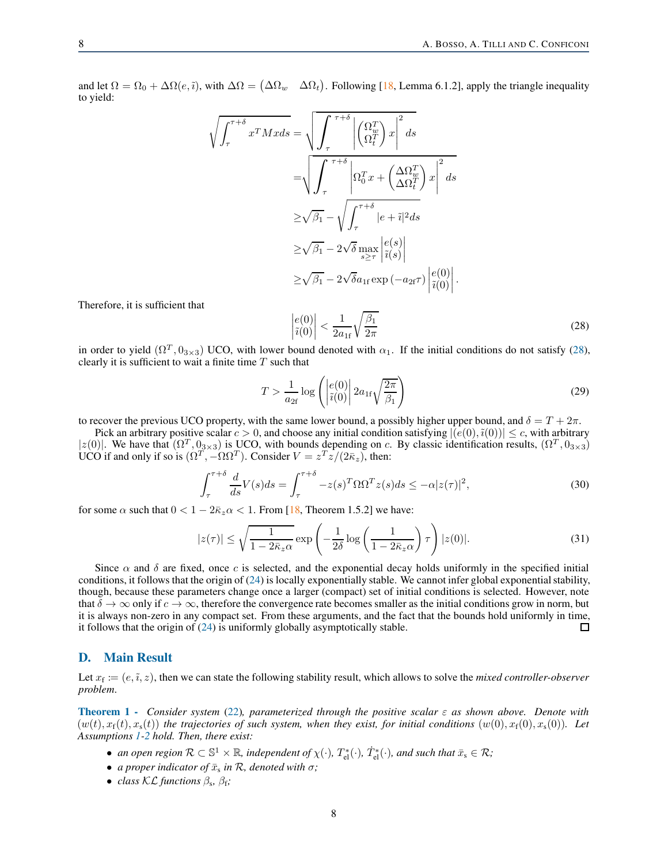and let  $\Omega = \Omega_0 + \Delta \Omega(e, \tilde{\imath})$ , with  $\Delta \Omega = (\Delta \Omega_w \Delta \Omega_t)$ . Following [\[18,](#page-10-17) Lemma 6.1.2], apply the triangle inequality to yield:

$$
\sqrt{\int_{\tau}^{\tau+\delta} x^T M x ds} = \sqrt{\int_{\tau}^{\tau+\delta} \left| \begin{pmatrix} \Omega_w^T \\ \Omega_t^T \end{pmatrix} x \right|^2 ds}
$$

$$
= \sqrt{\int_{\tau}^{\tau+\delta} \left| \Omega_0^T x + \begin{pmatrix} \Delta \Omega_w^T \\ \Delta \Omega_t^T \end{pmatrix} x \right|^2 ds}
$$

$$
\geq \sqrt{\beta_1} - \sqrt{\int_{\tau}^{\tau+\delta} |e + \tilde{i}|^2 ds}
$$

$$
\geq \sqrt{\beta_1} - 2\sqrt{\delta} \max_{s \geq \tau} \left| \tilde{i}(s) \right|
$$

$$
\geq \sqrt{\beta_1} - 2\sqrt{\delta} a_{1f} \exp(-a_{2f} \tau) \left| \tilde{i}(0) \right|.
$$

Therefore, it is sufficient that

<span id="page-7-0"></span>
$$
\left|\frac{e(0)}{\tilde{\imath}(0)}\right| < \frac{1}{2a_{1f}}\sqrt{\frac{\beta_1}{2\pi}}\tag{28}
$$

in order to yield  $(\Omega^T, 0_{3\times3})$  UCO, with lower bound denoted with  $\alpha_1$ . If the initial conditions do not satisfy [\(28\)](#page-7-0), clearly it is sufficient to wait a finite time  $T$  such that

$$
T > \frac{1}{a_{2f}} \log \left( \left| \frac{e(0)}{\tilde{\imath}(0)} \right| 2a_{1f} \sqrt{\frac{2\pi}{\beta_1}} \right) \tag{29}
$$

to recover the previous UCO property, with the same lower bound, a possibly higher upper bound, and  $\delta = T + 2\pi$ .

Pick an arbitrary positive scalar  $c > 0$ , and choose any initial condition satisfying  $|(e(0), \tilde{i}(0))| \leq c$ , with arbitrary  $|z(0)|$ . We have that  $(\Omega^T, 0_{3\times3})$  is UCO, with bounds depending on c. By classic identification results,  $(\Omega^T, 0_{3\times3})$ UCO if and only if so is  $(\Omega^T, -\Omega \Omega^T)$ . Consider  $V = z^T \overline{z}/(2\overline{\kappa}_z)$ , then:

$$
\int_{\tau}^{\tau+\delta} \frac{d}{ds} V(s) ds = \int_{\tau}^{\tau+\delta} -z(s)^T \Omega \Omega^T z(s) ds \le -\alpha |z(\tau)|^2,
$$
\n(30)

for some  $\alpha$  such that  $0 < 1 - 2\bar{\kappa}_z \alpha < 1$ . From [\[18,](#page-10-17) Theorem 1.5.2] we have:

$$
|z(\tau)| \le \sqrt{\frac{1}{1 - 2\bar{\kappa}_z \alpha}} \exp\left(-\frac{1}{2\delta} \log\left(\frac{1}{1 - 2\bar{\kappa}_z \alpha}\right) \tau\right) |z(0)|. \tag{31}
$$

Since  $\alpha$  and  $\delta$  are fixed, once c is selected, and the exponential decay holds uniformly in the specified initial conditions, it follows that the origin of  $(24)$  is locally exponentially stable. We cannot infer global exponential stability, though, because these parameters change once a larger (compact) set of initial conditions is selected. However, note that  $\delta \to \infty$  only if  $c \to \infty$ , therefore the convergence rate becomes smaller as the initial conditions grow in norm, but it is always non-zero in any compact set. From these arguments, and the fact that the bounds hold uniformly in time, it follows that the origin of [\(24\)](#page-6-0) is uniformly globally asymptotically stable.  $\Box$ 

#### D. Main Result

Let  $x_f \coloneqq (e, \tilde{\imath}, z)$ , then we can state the following stability result, which allows to solve the *mixed controller-observer problem*.

Theorem 1 - *Consider system* [\(22\)](#page-5-0)*, parameterized through the positive scalar* ε *as shown above. Denote with*  $(w(t), x_f(t), x_s(t))$  the trajectories of such system, when they exist, for initial conditions  $(w(0), x_f(0), x_s(0))$ *.* Let *Assumptions [1-](#page-3-2)[2](#page-3-3) hold. Then, there exist:*

- *an open region*  $\mathcal{R} \subset \mathbb{S}^1 \times \mathbb{R}$ *, independent of*  $\chi(\cdot)$ *,*  $T^*_{el}(\cdot)$ *,*  $T^*_{el}(\cdot)$ *<sub><i>and such that*  $\bar{x}_s \in \mathcal{R}$ *;*</sub>
- *a proper indicator of*  $\bar{x}_s$  *in*  $\mathcal{R}$ *, denoted with*  $\sigma$ *;*
- *class*  $KL$  *functions*  $\beta_s$ ,  $\beta_f$ *;*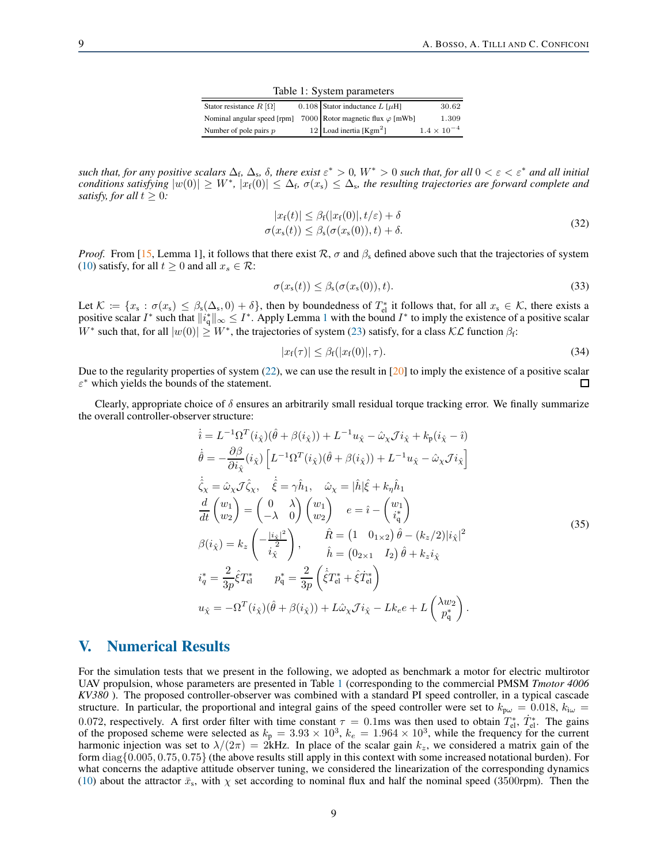Table 1: System parameters

| Stator resistance $R[\Omega]$ |  | 0.108 Stator inductance $L[\mu H]$       | 30.62                |
|-------------------------------|--|------------------------------------------|----------------------|
| Nominal angular speed [rpm]   |  | 7000 Rotor magnetic flux $\varphi$ [mWb] | 1.309                |
| Number of pole pairs $p$      |  | 12 Load inertia $[Kgm2]$                 | $1.4 \times 10^{-4}$ |

<span id="page-8-1"></span>*such that, for any positive scalars*  $\Delta_f$ ,  $\Delta_s$ ,  $\delta$ , *there exist*  $\varepsilon^* > 0$ ,  $W^* > 0$  *such that, for all*  $0 < \varepsilon < \varepsilon^*$  *and all initial conditions satisfying*  $|w(0)| \ge W^*$ ,  $|x_f(0)| \le \Delta_f$ ,  $\sigma(x_s) \le \Delta_s$ , the resulting trajectories are forward complete and *satisfy, for all*  $t \geq 0$ *:* 

$$
|x_{\rm f}(t)| \leq \beta_{\rm f}(|x_{\rm f}(0)|, t/\varepsilon) + \delta
$$
  
\n
$$
\sigma(x_{\rm s}(t)) \leq \beta_{\rm s}(\sigma(x_{\rm s}(0)), t) + \delta.
$$
\n(32)

*Proof.* From [\[15,](#page-10-14) Lemma 1], it follows that there exist R,  $\sigma$  and  $\beta_s$  defined above such that the trajectories of system [\(10\)](#page-4-0) satisfy, for all  $t \geq 0$  and all  $x_s \in \mathcal{R}$ :

$$
\sigma(x_s(t)) \leq \beta_s(\sigma(x_s(0)), t). \tag{33}
$$

Let  $\mathcal{K} := \{x_s : \sigma(x_s) \leq \beta_s(\Delta_s, 0) + \delta\}$ , then by boundedness of  $T_{el}^*$  it follows that, for all  $x_s \in \mathcal{K}$ , there exists a positive scalar  $I^*$  such that  $||i_q^*||_{\infty} \leq I^*$ . Apply Lemma [1](#page-6-1) with the bound  $I^*$  to i W<sup>∗</sup> such that, for all  $|w(0)| \geq W^*$ , the trajectories of system [\(23\)](#page-6-2) satisfy, for a class  $\mathcal{KL}$  function  $\beta_f$ :

$$
|x_{\mathbf{f}}(\tau)| \leq \beta_{\mathbf{f}}(|x_{\mathbf{f}}(0)|, \tau). \tag{34}
$$

Due to the regularity properties of system [\(22\)](#page-5-0), we can use the result in [\[20\]](#page-10-19) to imply the existence of a positive scalar  $\varepsilon^*$  which yields the bounds of the statement.  $\Box$ 

Clearly, appropriate choice of  $\delta$  ensures an arbitrarily small residual torque tracking error. We finally summarize the overall controller-observer structure:

$$
\begin{split}\n\dot{\hat{i}} &= L^{-1}\Omega^{T}(i_{\hat{\chi}})(\hat{\theta} + \beta(i_{\hat{\chi}})) + L^{-1}u_{\hat{\chi}} - \hat{\omega}_{\chi}\mathcal{J}i_{\hat{\chi}} + k_{\mathsf{p}}(i_{\hat{\chi}} - \hat{\imath}) \\
\dot{\theta} &= -\frac{\partial\beta}{\partial i_{\hat{\chi}}}(i_{\hat{\chi}})\left[L^{-1}\Omega^{T}(i_{\hat{\chi}})(\hat{\theta} + \beta(i_{\hat{\chi}})) + L^{-1}u_{\hat{\chi}} - \hat{\omega}_{\chi}\mathcal{J}i_{\hat{\chi}}\right] \\
\dot{\hat{\zeta}}_{\chi} &= \hat{\omega}_{\chi}\mathcal{J}\hat{\zeta}_{\chi}, \quad \dot{\hat{\xi}} = \gamma\hat{h}_{1}, \quad \hat{\omega}_{\chi} = |\hat{h}|\hat{\xi} + k_{\eta}\hat{h}_{1} \\
\frac{d}{dt}\begin{pmatrix} w_{1} \\ w_{2} \end{pmatrix} &= \begin{pmatrix} 0 & \lambda \\ -\lambda & 0 \end{pmatrix} \begin{pmatrix} w_{1} \\ w_{2} \end{pmatrix} \quad e = \hat{\imath} - \begin{pmatrix} w_{1} \\ i_{\eta}^{*} \end{pmatrix} \\
\beta(i_{\hat{\chi}}) &= k_{z} \begin{pmatrix} -\frac{|i_{\hat{\chi}}|^{2}}{2} \\ i_{\hat{\chi}}^{*} \end{pmatrix}, \qquad \hat{h} = \begin{pmatrix} 1 & 0_{1\times 2} \end{pmatrix} \hat{\theta} - (k_{z}/2)|i_{\hat{\chi}}|^{2} \\
i_{\eta}^{*} &= \frac{2}{3p}\hat{\xi}T_{\text{el}}^{*} \qquad p_{\eta}^{*} = \frac{2}{3p}\left(\dot{\xi}T_{\text{el}}^{*} + \hat{\xi}T_{\text{el}}^{*}\right) \\
u_{\hat{\chi}} &= -\Omega^{T}(i_{\hat{\chi}})(\hat{\theta} + \beta(i_{\hat{\chi}})) + L\hat{\omega}_{\chi}\mathcal{J}i_{\hat{\chi}} - Lk_{e}e + L\begin{pmatrix} \lambda w_{2} \\ p_{\eta}^{*} \end{pmatrix}.\n\end{split}
$$
\n(35)

## <span id="page-8-0"></span>V. Numerical Results

For the simulation tests that we present in the following, we adopted as benchmark a motor for electric multirotor UAV propulsion, whose parameters are presented in Table [1](#page-8-1) (corresponding to the commercial PMSM *Tmotor 4006 KV380* ). The proposed controller-observer was combined with a standard PI speed controller, in a typical cascade structure. In particular, the proportional and integral gains of the speed controller were set to  $k_{p\omega} = 0.018$ ,  $k_{i\omega} =$ 0.072, respectively. A first order filter with time constant  $\tau = 0.1$ ms was then used to obtain  $T_{el}^*$ ,  $\dot{T}_{el}^*$ . The gains of the proposed scheme were selected as  $k_p = 3.93 \times 10^3$ ,  $k_e = 1.964 \times 10^3$ , while the frequency for the current harmonic injection was set to  $\lambda/(2\pi) = 2kHz$ . In place of the scalar gain  $k_z$ , we considered a matrix gain of the form diag{0.005, 0.75, 0.75} (the above results still apply in this context with some increased notational burden). For what concerns the adaptive attitude observer tuning, we considered the linearization of the corresponding dynamics [\(10\)](#page-4-0) about the attractor  $\bar{x}_s$ , with  $\chi$  set according to nominal flux and half the nominal speed (3500rpm). Then the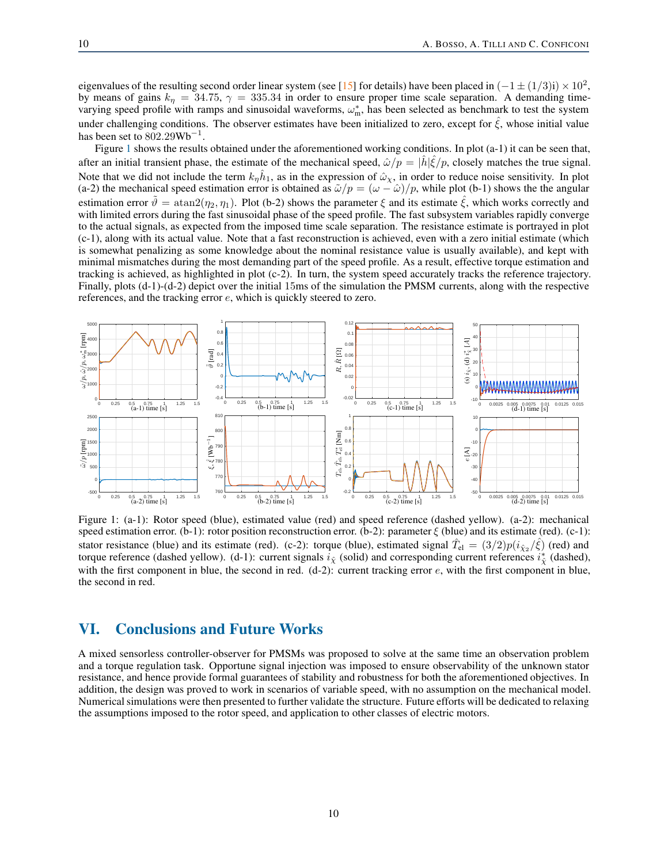eigenvalues of the resulting second order linear system (see [\[15\]](#page-10-14) for details) have been placed in  $(-1 \pm (1/3)i) \times 10^2$ , by means of gains  $k_n = 34.75$ ,  $\gamma = 335.34$  in order to ensure proper time scale separation. A demanding timevarying speed profile with ramps and sinusoidal waveforms,  $\omega_m^*$ , has been selected as benchmark to test the system under challenging conditions. The observer estimates have been initialized to zero, except for  $\xi$ , whose initial value has been set to  $802.29 \text{Wb}^{-1}$ .

Figure [1](#page-9-1) shows the results obtained under the aforementioned working conditions. In plot (a-1) it can be seen that, after an initial transient phase, the estimate of the mechanical speed,  $\hat{\omega}/p = |\hat{h}|\hat{\xi}/p$ , closely matches the true signal. Note that we did not include the term  $k_{\eta} \hat{h}_1$ , as in the expression of  $\hat{\omega}_\chi$ , in order to reduce noise sensitivity. In plot (a-2) the mechanical speed estimation error is obtained as  $\tilde{\omega}/p = (\omega - \hat{\omega})/p$ , while plot (b-1) shows the the angular estimation error  $\hat{\theta} = \text{atan2}(\eta_2, \eta_1)$ . Plot (b-2) shows the parameter  $\xi$  and its estimate  $\xi$ , which works correctly and with limited errors during the fast sinusoidal phase of the speed profile. The fast subsystem variables rapidly converge to the actual signals, as expected from the imposed time scale separation. The resistance estimate is portrayed in plot (c-1), along with its actual value. Note that a fast reconstruction is achieved, even with a zero initial estimate (which is somewhat penalizing as some knowledge about the nominal resistance value is usually available), and kept with minimal mismatches during the most demanding part of the speed profile. As a result, effective torque estimation and tracking is achieved, as highlighted in plot (c-2). In turn, the system speed accurately tracks the reference trajectory. Finally, plots (d-1)-(d-2) depict over the initial 15ms of the simulation the PMSM currents, along with the respective references, and the tracking error e, which is quickly steered to zero.

<span id="page-9-1"></span>

Figure 1: (a-1): Rotor speed (blue), estimated value (red) and speed reference (dashed yellow). (a-2): mechanical speed estimation error. (b-1): rotor position reconstruction error. (b-2): parameter  $\xi$  (blue) and its estimate (red). (c-1): stator resistance (blue) and its estimate (red). (c-2): torque (blue), estimated signal  $\hat{T}_{el} = (3/2)p(i_{\hat{X}2}/\hat{\xi})$  (red) and torque reference (dashed yellow). (d-1): current signals  $\vec{i}_{\hat{\chi}}$  (solid) and corresponding current references  $\vec{i}_{\hat{\chi}}^*$  (dashed), with the first component in blue, the second in red.  $(d-2)$ : current tracking error  $e$ , with the first component in blue, the second in red.

# <span id="page-9-0"></span>VI. Conclusions and Future Works

A mixed sensorless controller-observer for PMSMs was proposed to solve at the same time an observation problem and a torque regulation task. Opportune signal injection was imposed to ensure observability of the unknown stator resistance, and hence provide formal guarantees of stability and robustness for both the aforementioned objectives. In addition, the design was proved to work in scenarios of variable speed, with no assumption on the mechanical model. Numerical simulations were then presented to further validate the structure. Future efforts will be dedicated to relaxing the assumptions imposed to the rotor speed, and application to other classes of electric motors.